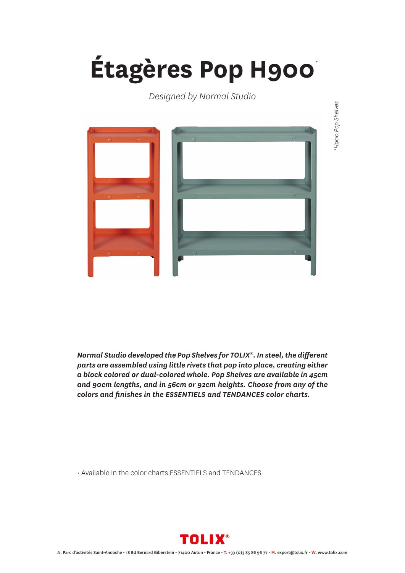## **Étagères Pop H900** *\**

## *Designed by Normal Studio*



*Normal Studio developed the Pop Shelves for TOLIX®. In steel, the different parts are assembled using little rivets that pop into place, creating either a block colored or dual-colored whole. Pop Shelves are available in 45cm and 90cm lengths, and in 56cm or 92cm heights. Choose from any of the colors and finishes in the ESSENTIELS and TENDANCES color charts.*

• Available in the color charts ESSENTIELS and TENDANCES



\*H900 Pop Shelves *\*H900 Pop Shelves*